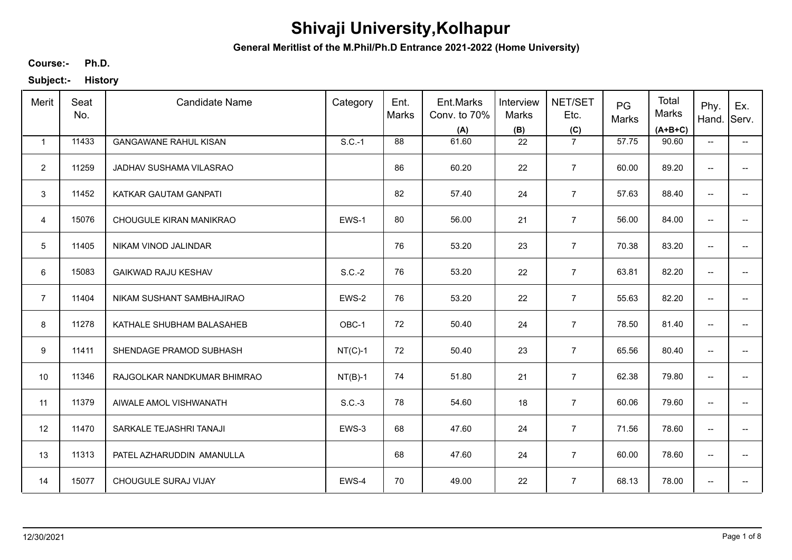**General Meritlist of the M.Phil/Ph.D Entrance 2021-2022 (Home University)**

**Ph.D. Course:-**

| Merit          | Seat<br>No. | <b>Candidate Name</b>        | Category  | Ent.<br><b>Marks</b> | Ent.Marks<br>Conv. to 70%<br>(A) | Interview<br>Marks<br>(B) | NET/SET<br>Etc.<br>(C) | PG<br>Marks | Total<br>Marks<br>$(A+B+C)$ | Phy.<br>Hand.            | Ex.<br>Serv.             |
|----------------|-------------|------------------------------|-----------|----------------------|----------------------------------|---------------------------|------------------------|-------------|-----------------------------|--------------------------|--------------------------|
| $\mathbf{1}$   | 11433       | <b>GANGAWANE RAHUL KISAN</b> | $S.C.-1$  | 88                   | 61.60                            | 22                        | $\overline{7}$         | 57.75       | 90.60                       | $\overline{\phantom{a}}$ | $\overline{\phantom{a}}$ |
| $\overline{2}$ | 11259       | JADHAV SUSHAMA VILASRAO      |           | 86                   | 60.20                            | 22                        | $\overline{7}$         | 60.00       | 89.20                       | $\overline{\phantom{a}}$ | -−                       |
| 3              | 11452       | KATKAR GAUTAM GANPATI        |           | 82                   | 57.40                            | 24                        | $\overline{7}$         | 57.63       | 88.40                       | $\overline{\phantom{a}}$ |                          |
| $\overline{4}$ | 15076       | CHOUGULE KIRAN MANIKRAO      | EWS-1     | 80                   | 56.00                            | 21                        | $\overline{7}$         | 56.00       | 84.00                       | $\overline{\phantom{a}}$ | $\overline{\phantom{a}}$ |
| 5              | 11405       | NIKAM VINOD JALINDAR         |           | 76                   | 53.20                            | 23                        | $\overline{7}$         | 70.38       | 83.20                       | $\overline{\phantom{m}}$ | --                       |
| 6              | 15083       | <b>GAIKWAD RAJU KESHAV</b>   | $S.C.-2$  | 76                   | 53.20                            | 22                        | $\overline{7}$         | 63.81       | 82.20                       | $\overline{\phantom{m}}$ | $\overline{\phantom{a}}$ |
| $\overline{7}$ | 11404       | NIKAM SUSHANT SAMBHAJIRAO    | EWS-2     | 76                   | 53.20                            | 22                        | $\overline{7}$         | 55.63       | 82.20                       | $\overline{\phantom{m}}$ | -−                       |
| 8              | 11278       | KATHALE SHUBHAM BALASAHEB    | OBC-1     | 72                   | 50.40                            | 24                        | $\overline{7}$         | 78.50       | 81.40                       | $\overline{\phantom{m}}$ | $\overline{\phantom{a}}$ |
| 9              | 11411       | SHENDAGE PRAMOD SUBHASH      | $NT(C)-1$ | 72                   | 50.40                            | 23                        | $\overline{7}$         | 65.56       | 80.40                       | $\overline{\phantom{a}}$ |                          |
| 10             | 11346       | RAJGOLKAR NANDKUMAR BHIMRAO  | $NT(B)-1$ | 74                   | 51.80                            | 21                        | $\overline{7}$         | 62.38       | 79.80                       | $\overline{\phantom{a}}$ | --                       |
| 11             | 11379       | AIWALE AMOL VISHWANATH       | $S.C.-3$  | 78                   | 54.60                            | 18                        | $\overline{7}$         | 60.06       | 79.60                       | $\overline{\phantom{a}}$ | $- -$                    |
| 12             | 11470       | SARKALE TEJASHRI TANAJI      | EWS-3     | 68                   | 47.60                            | 24                        | $\overline{7}$         | 71.56       | 78.60                       | $\overline{\phantom{a}}$ | $\overline{\phantom{a}}$ |
| 13             | 11313       | PATEL AZHARUDDIN AMANULLA    |           | 68                   | 47.60                            | 24                        | $\overline{7}$         | 60.00       | 78.60                       | $\overline{\phantom{a}}$ | $\overline{\phantom{a}}$ |
| 14             | 15077       | CHOUGULE SURAJ VIJAY         | EWS-4     | 70                   | 49.00                            | 22                        | $\overline{7}$         | 68.13       | 78.00                       | $\overline{\phantom{a}}$ | $\overline{\phantom{a}}$ |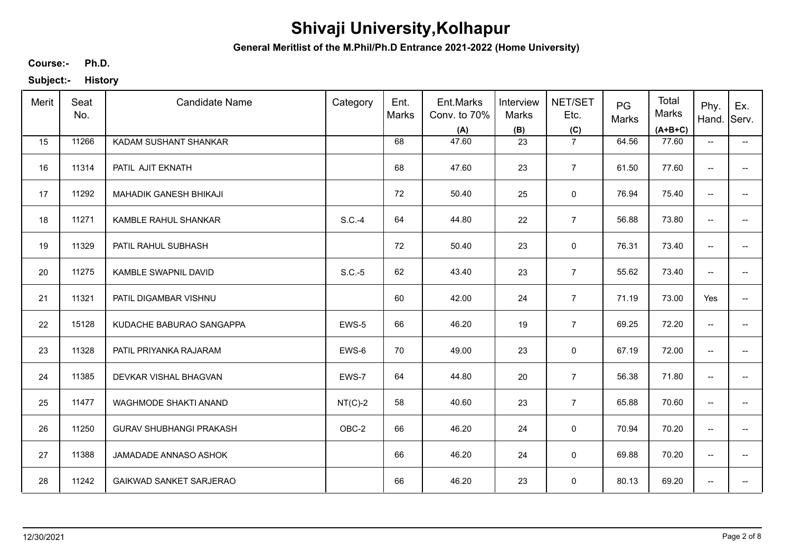**General Meritlist of the M.Phil/Ph.D Entrance 2021-2022 (Home University)**

**Ph.D. Course:-**

| Merit | Seat<br>No. | <b>Candidate Name</b>          | Category  | Ent.<br>Marks | Ent.Marks<br>Conv. to 70%<br>(A) | Interview<br><b>Marks</b><br>(B) | NET/SET<br>Etc.<br>(C) | PG<br>Marks | Total<br>Marks<br>$(A+B+C)$ | Phy.<br>Hand.            | Ex.<br>Serv.             |
|-------|-------------|--------------------------------|-----------|---------------|----------------------------------|----------------------------------|------------------------|-------------|-----------------------------|--------------------------|--------------------------|
| 15    | 11266       | KADAM SUSHANT SHANKAR          |           | 68            | 47.60                            | 23                               | $\overline{7}$         | 64.56       | 77.60                       | $\overline{\phantom{a}}$ | $\overline{\phantom{a}}$ |
| 16    | 11314       | PATIL AJIT EKNATH              |           | 68            | 47.60                            | 23                               | $\overline{7}$         | 61.50       | 77.60                       | --                       |                          |
| 17    | 11292       | <b>MAHADIK GANESH BHIKAJI</b>  |           | 72            | 50.40                            | 25                               | $\mathsf 0$            | 76.94       | 75.40                       | --                       |                          |
| 18    | 11271       | KAMBLE RAHUL SHANKAR           | $S.C. -4$ | 64            | 44.80                            | 22                               | $\overline{7}$         | 56.88       | 73.80                       | $\overline{\phantom{a}}$ | --                       |
| 19    | 11329       | PATIL RAHUL SUBHASH            |           | 72            | 50.40                            | 23                               | 0                      | 76.31       | 73.40                       | $\overline{\phantom{a}}$ | --                       |
| 20    | 11275       | KAMBLE SWAPNIL DAVID           | $S.C.-5$  | 62            | 43.40                            | 23                               | $\overline{7}$         | 55.62       | 73.40                       | $\overline{\phantom{a}}$ | --                       |
| 21    | 11321       | PATIL DIGAMBAR VISHNU          |           | 60            | 42.00                            | 24                               | $\overline{7}$         | 71.19       | 73.00                       | Yes                      | $\overline{\phantom{a}}$ |
| 22    | 15128       | KUDACHE BABURAO SANGAPPA       | EWS-5     | 66            | 46.20                            | 19                               | $\overline{7}$         | 69.25       | 72.20                       | $\overline{\phantom{a}}$ |                          |
| 23    | 11328       | PATIL PRIYANKA RAJARAM         | EWS-6     | 70            | 49.00                            | 23                               | $\mathbf 0$            | 67.19       | 72.00                       | $\overline{\phantom{a}}$ |                          |
| 24    | 11385       | DEVKAR VISHAL BHAGVAN          | EWS-7     | 64            | 44.80                            | 20                               | $\overline{7}$         | 56.38       | 71.80                       | --                       |                          |
| 25    | 11477       | WAGHMODE SHAKTI ANAND          | $NT(C)-2$ | 58            | 40.60                            | 23                               | $\overline{7}$         | 65.88       | 70.60                       | --                       |                          |
| 26    | 11250       | <b>GURAV SHUBHANGI PRAKASH</b> | OBC-2     | 66            | 46.20                            | 24                               | $\mathbf 0$            | 70.94       | 70.20                       | $\overline{\phantom{a}}$ | --                       |
| 27    | 11388       | JAMADADE ANNASO ASHOK          |           | 66            | 46.20                            | 24                               | $\mathbf 0$            | 69.88       | 70.20                       | $\overline{\phantom{a}}$ | $\overline{\phantom{a}}$ |
| 28    | 11242       | <b>GAIKWAD SANKET SARJERAO</b> |           | 66            | 46.20                            | 23                               | 0                      | 80.13       | 69.20                       | $\overline{\phantom{a}}$ |                          |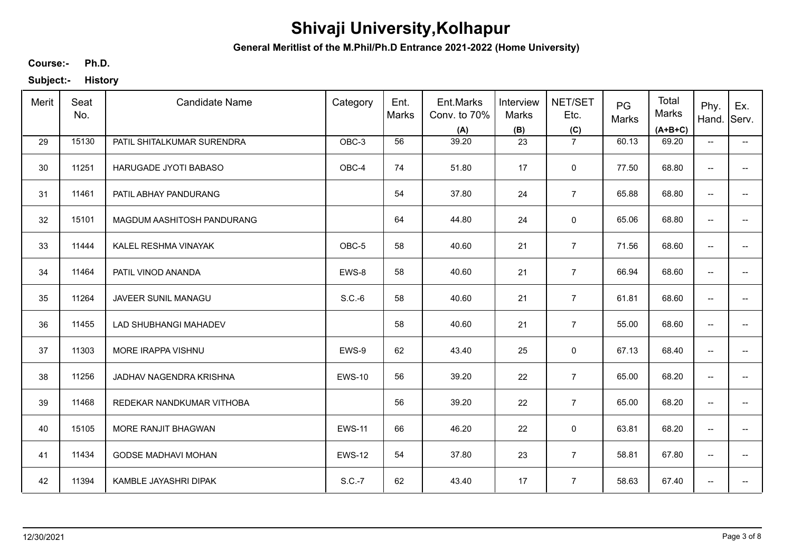**General Meritlist of the M.Phil/Ph.D Entrance 2021-2022 (Home University)**

**Ph.D. Course:-**

| Merit | Seat<br>No. | <b>Candidate Name</b>          | Category      | Ent.<br>Marks | Ent.Marks<br>Conv. to 70%<br>(A) | Interview<br>Marks<br>(B) | NET/SET<br>Etc.<br>(C) | PG<br>Marks | Total<br>Marks<br>$(A+B+C)$ | Phy.<br>Hand.            | Ex.<br>Serv.             |
|-------|-------------|--------------------------------|---------------|---------------|----------------------------------|---------------------------|------------------------|-------------|-----------------------------|--------------------------|--------------------------|
| 29    | 15130       | PATIL SHITALKUMAR SURENDRA     | OBC-3         | 56            | 39.20                            | 23                        | $\overline{7}$         | 60.13       | 69.20                       | $\overline{\phantom{a}}$ | $\overline{\phantom{a}}$ |
| 30    | 11251       | HARUGADE JYOTI BABASO          | OBC-4         | 74            | 51.80                            | 17                        | $\mathbf 0$            | 77.50       | 68.80                       | $\overline{\phantom{a}}$ | --                       |
| 31    | 11461       | PATIL ABHAY PANDURANG          |               | 54            | 37.80                            | 24                        | $\overline{7}$         | 65.88       | 68.80                       | $\overline{\phantom{a}}$ | $- -$                    |
| 32    | 15101       | MAGDUM AASHITOSH PANDURANG     |               | 64            | 44.80                            | 24                        | $\mathsf 0$            | 65.06       | 68.80                       | $\overline{\phantom{a}}$ | $\overline{\phantom{a}}$ |
| 33    | 11444       | KALEL RESHMA VINAYAK           | OBC-5         | 58            | 40.60                            | 21                        | $\overline{7}$         | 71.56       | 68.60                       | $\overline{\phantom{a}}$ | -−                       |
| 34    | 11464       | PATIL VINOD ANANDA             | EWS-8         | 58            | 40.60                            | 21                        | $\overline{7}$         | 66.94       | 68.60                       | $\overline{\phantom{a}}$ | -−                       |
| 35    | 11264       | JAVEER SUNIL MANAGU            | $S.C.-6$      | 58            | 40.60                            | 21                        | $\overline{7}$         | 61.81       | 68.60                       | $\overline{\phantom{a}}$ | --                       |
| 36    | 11455       | LAD SHUBHANGI MAHADEV          |               | 58            | 40.60                            | 21                        | $\overline{7}$         | 55.00       | 68.60                       | $\overline{\phantom{a}}$ |                          |
| 37    | 11303       | MORE IRAPPA VISHNU             | EWS-9         | 62            | 43.40                            | 25                        | $\mathbf 0$            | 67.13       | 68.40                       | $\overline{\phantom{a}}$ | $- -$                    |
| 38    | 11256       | <b>JADHAV NAGENDRA KRISHNA</b> | <b>EWS-10</b> | 56            | 39.20                            | 22                        | $\overline{7}$         | 65.00       | 68.20                       | $\overline{\phantom{a}}$ | $- -$                    |
| 39    | 11468       | REDEKAR NANDKUMAR VITHOBA      |               | 56            | 39.20                            | 22                        | $\overline{7}$         | 65.00       | 68.20                       | $\overline{\phantom{a}}$ | $\overline{\phantom{a}}$ |
| 40    | 15105       | MORE RANJIT BHAGWAN            | <b>EWS-11</b> | 66            | 46.20                            | 22                        | 0                      | 63.81       | 68.20                       | $\overline{\phantom{m}}$ | --                       |
| 41    | 11434       | <b>GODSE MADHAVI MOHAN</b>     | <b>EWS-12</b> | 54            | 37.80                            | 23                        | $\overline{7}$         | 58.81       | 67.80                       | $\overline{\phantom{a}}$ | $\overline{\phantom{a}}$ |
| 42    | 11394       | KAMBLE JAYASHRI DIPAK          | S.C.-7        | 62            | 43.40                            | 17                        | $\overline{7}$         | 58.63       | 67.40                       | $\overline{\phantom{a}}$ | --                       |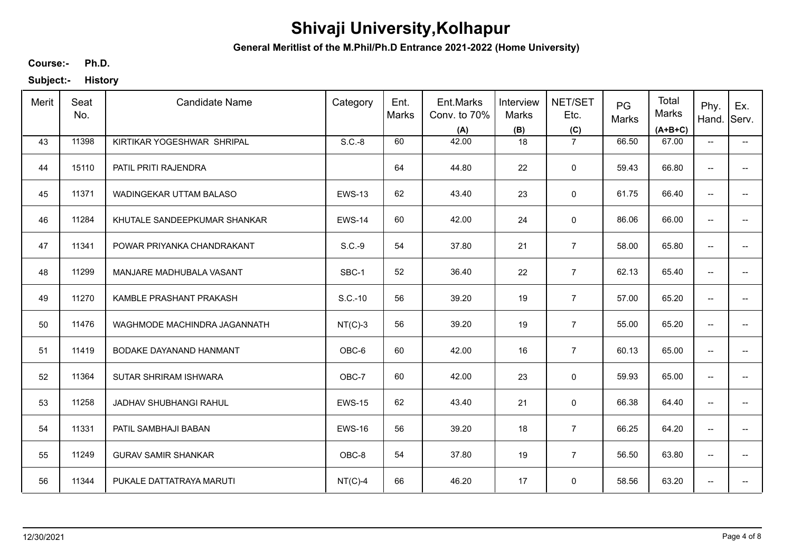**General Meritlist of the M.Phil/Ph.D Entrance 2021-2022 (Home University)**

**Ph.D. Course:-**

| Merit | Seat<br>No. | <b>Candidate Name</b>        | Category      | Ent.<br>Marks | Ent.Marks<br>Conv. to 70%<br>(A) | Interview<br>Marks<br>(B) | NET/SET<br>Etc.<br>(C) | PG<br>Marks | Total<br>Marks<br>$(A+B+C)$ | Phy.<br>Hand.                       | Ex.<br>Serv.             |
|-------|-------------|------------------------------|---------------|---------------|----------------------------------|---------------------------|------------------------|-------------|-----------------------------|-------------------------------------|--------------------------|
| 43    | 11398       | KIRTIKAR YOGESHWAR SHRIPAL   | $S.C.-8$      | 60            | 42.00                            | 18                        | $\overline{7}$         | 66.50       | 67.00                       | $\overline{\phantom{a}}$            | $\overline{\phantom{a}}$ |
| 44    | 15110       | PATIL PRITI RAJENDRA         |               | 64            | 44.80                            | 22                        | 0                      | 59.43       | 66.80                       | $\overline{\phantom{a}}$            | -−                       |
| 45    | 11371       | WADINGEKAR UTTAM BALASO      | <b>EWS-13</b> | 62            | 43.40                            | 23                        | 0                      | 61.75       | 66.40                       | $\overline{\phantom{a}}$            | $-$                      |
| 46    | 11284       | KHUTALE SANDEEPKUMAR SHANKAR | <b>EWS-14</b> | 60            | 42.00                            | 24                        | 0                      | 86.06       | 66.00                       | $\overline{\phantom{a}}$            | $\overline{\phantom{a}}$ |
| 47    | 11341       | POWAR PRIYANKA CHANDRAKANT   | $S.C.-9$      | 54            | 37.80                            | 21                        | $\overline{7}$         | 58.00       | 65.80                       | $\overline{\phantom{a}}$            | -−                       |
| 48    | 11299       | MANJARE MADHUBALA VASANT     | SBC-1         | 52            | 36.40                            | 22                        | $\overline{7}$         | 62.13       | 65.40                       | $\overline{\phantom{a}}$            | $\overline{\phantom{a}}$ |
| 49    | 11270       | KAMBLE PRASHANT PRAKASH      | S.C.-10       | 56            | 39.20                            | 19                        | $\overline{7}$         | 57.00       | 65.20                       | $\overline{\phantom{a}}$            | -−                       |
| 50    | 11476       | WAGHMODE MACHINDRA JAGANNATH | $NT(C)-3$     | 56            | 39.20                            | 19                        | $\overline{7}$         | 55.00       | 65.20                       | $\overline{\phantom{a}}$            | $\overline{\phantom{a}}$ |
| 51    | 11419       | BODAKE DAYANAND HANMANT      | OBC-6         | 60            | 42.00                            | 16                        | $\overline{7}$         | 60.13       | 65.00                       | $\overline{\phantom{a}}$            |                          |
| 52    | 11364       | SUTAR SHRIRAM ISHWARA        | OBC-7         | 60            | 42.00                            | 23                        | 0                      | 59.93       | 65.00                       | $\overline{\phantom{a}}$            | -−                       |
| 53    | 11258       | JADHAV SHUBHANGI RAHUL       | <b>EWS-15</b> | 62            | 43.40                            | 21                        | 0                      | 66.38       | 64.40                       | $\overline{\phantom{a}}$            | $\overline{\phantom{a}}$ |
| 54    | 11331       | PATIL SAMBHAJI BABAN         | <b>EWS-16</b> | 56            | 39.20                            | 18                        | $\overline{7}$         | 66.25       | 64.20                       | $\overline{\phantom{a}}$            | $\overline{\phantom{a}}$ |
| 55    | 11249       | <b>GURAV SAMIR SHANKAR</b>   | OBC-8         | 54            | 37.80                            | 19                        | $\overline{7}$         | 56.50       | 63.80                       | $\overline{\phantom{a}}$            | $\overline{\phantom{a}}$ |
| 56    | 11344       | PUKALE DATTATRAYA MARUTI     | $NT(C)-4$     | 66            | 46.20                            | 17                        | 0                      | 58.56       | 63.20                       | $\hspace{0.05cm}$ $\hspace{0.05cm}$ | ÷                        |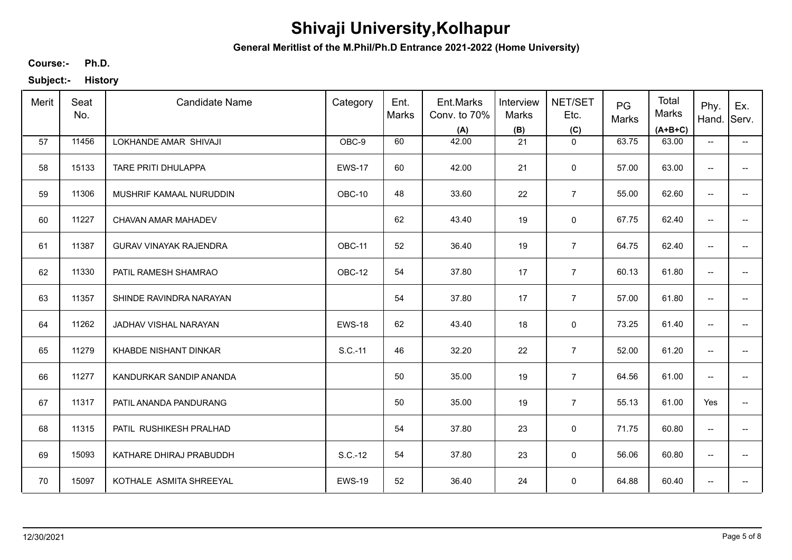**General Meritlist of the M.Phil/Ph.D Entrance 2021-2022 (Home University)**

**Ph.D. Course:-**

| Merit | Seat<br>No. | <b>Candidate Name</b>         | Category      | Ent.<br>Marks | Ent.Marks<br>Conv. to 70%<br>(A) | Interview<br>Marks<br>(B) | NET/SET<br>Etc.<br>(C) | PG<br>Marks | Total<br>Marks<br>$(A+B+C)$ | Phy.<br>Hand.                       | Ex.<br>Serv.             |
|-------|-------------|-------------------------------|---------------|---------------|----------------------------------|---------------------------|------------------------|-------------|-----------------------------|-------------------------------------|--------------------------|
| 57    | 11456       | LOKHANDE AMAR SHIVAJI         | OBC-9         | 60            | 42.00                            | 21                        | $\mathbf 0$            | 63.75       | 63.00                       | $\overline{\phantom{a}}$            | $\overline{\phantom{a}}$ |
| 58    | 15133       | TARE PRITI DHULAPPA           | <b>EWS-17</b> | 60            | 42.00                            | 21                        | 0                      | 57.00       | 63.00                       | $\overline{\phantom{a}}$            | -−                       |
| 59    | 11306       | MUSHRIF KAMAAL NURUDDIN       | OBC-10        | 48            | 33.60                            | 22                        | $\overline{7}$         | 55.00       | 62.60                       | $\overline{\phantom{a}}$            |                          |
| 60    | 11227       | CHAVAN AMAR MAHADEV           |               | 62            | 43.40                            | 19                        | $\mathbf 0$            | 67.75       | 62.40                       | $\overline{\phantom{a}}$            | $\overline{\phantom{a}}$ |
| 61    | 11387       | <b>GURAV VINAYAK RAJENDRA</b> | OBC-11        | 52            | 36.40                            | 19                        | $\overline{7}$         | 64.75       | 62.40                       | $\overline{\phantom{a}}$            | -−                       |
| 62    | 11330       | PATIL RAMESH SHAMRAO          | OBC-12        | 54            | 37.80                            | 17                        | $\overline{7}$         | 60.13       | 61.80                       | $\overline{\phantom{a}}$            | $\overline{\phantom{a}}$ |
| 63    | 11357       | SHINDE RAVINDRA NARAYAN       |               | 54            | 37.80                            | 17                        | $\overline{7}$         | 57.00       | 61.80                       | $\overline{\phantom{a}}$            | -−                       |
| 64    | 11262       | JADHAV VISHAL NARAYAN         | <b>EWS-18</b> | 62            | 43.40                            | 18                        | 0                      | 73.25       | 61.40                       | $\overline{\phantom{a}}$            |                          |
| 65    | 11279       | KHABDE NISHANT DINKAR         | S.C.-11       | 46            | 32.20                            | 22                        | $\overline{7}$         | 52.00       | 61.20                       | $\overline{\phantom{a}}$            |                          |
| 66    | 11277       | KANDURKAR SANDIP ANANDA       |               | 50            | 35.00                            | 19                        | $\overline{7}$         | 64.56       | 61.00                       | $\overline{\phantom{a}}$            | -−                       |
| 67    | 11317       | PATIL ANANDA PANDURANG        |               | 50            | 35.00                            | 19                        | $\overline{7}$         | 55.13       | 61.00                       | Yes                                 | $\overline{\phantom{a}}$ |
| 68    | 11315       | PATIL RUSHIKESH PRALHAD       |               | 54            | 37.80                            | 23                        | 0                      | 71.75       | 60.80                       | $\overline{\phantom{a}}$            | $\overline{\phantom{a}}$ |
| 69    | 15093       | KATHARE DHIRAJ PRABUDDH       | S.C.-12       | 54            | 37.80                            | 23                        | $\mathbf 0$            | 56.06       | 60.80                       | $\overline{\phantom{a}}$            | $\overline{\phantom{a}}$ |
| 70    | 15097       | KOTHALE ASMITA SHREEYAL       | <b>EWS-19</b> | 52            | 36.40                            | 24                        | $\mathbf 0$            | 64.88       | 60.40                       | $\hspace{0.05cm}$ $\hspace{0.05cm}$ | ÷                        |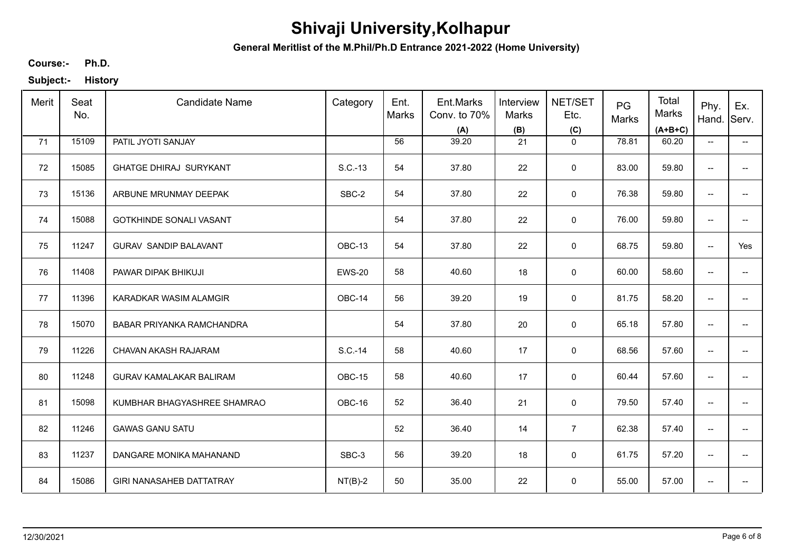**General Meritlist of the M.Phil/Ph.D Entrance 2021-2022 (Home University)**

**Ph.D. Course:-**

| Merit | Seat<br>No. | <b>Candidate Name</b>           | Category      | Ent.<br>Marks | Ent.Marks<br>Conv. to 70%<br>(A) | Interview<br>Marks<br>(B) | NET/SET<br>Etc.<br>(C) | PG<br>Marks | Total<br>Marks<br>$(A+B+C)$ | Phy.<br>Hand.                       | Ex.<br>Serv.                           |
|-------|-------------|---------------------------------|---------------|---------------|----------------------------------|---------------------------|------------------------|-------------|-----------------------------|-------------------------------------|----------------------------------------|
| 71    | 15109       | PATIL JYOTI SANJAY              |               | 56            | 39.20                            | 21                        | $\mathbf 0$            | 78.81       | 60.20                       | $\overline{\phantom{a}}$            | $\overline{\phantom{a}}$               |
| 72    | 15085       | <b>GHATGE DHIRAJ SURYKANT</b>   | S.C.-13       | 54            | 37.80                            | 22                        | $\mathbf 0$            | 83.00       | 59.80                       | $\overline{\phantom{a}}$            | $--$                                   |
| 73    | 15136       | ARBUNE MRUNMAY DEEPAK           | SBC-2         | 54            | 37.80                            | 22                        | $\mathsf{O}\xspace$    | 76.38       | 59.80                       | $\overline{\phantom{a}}$            | $- -$                                  |
| 74    | 15088       | <b>GOTKHINDE SONALI VASANT</b>  |               | 54            | 37.80                            | 22                        | $\mathbf 0$            | 76.00       | 59.80                       | $\overline{\phantom{a}}$            | $\overline{\phantom{a}}$               |
| 75    | 11247       | <b>GURAV SANDIP BALAVANT</b>    | OBC-13        | 54            | 37.80                            | 22                        | $\mathsf 0$            | 68.75       | 59.80                       | $\overline{\phantom{a}}$            | Yes                                    |
| 76    | 11408       | PAWAR DIPAK BHIKUJI             | <b>EWS-20</b> | 58            | 40.60                            | 18                        | $\mathbf 0$            | 60.00       | 58.60                       | $\overline{\phantom{a}}$            | $\hspace{0.05cm}$ $\hspace{0.05cm}$    |
| 77    | 11396       | KARADKAR WASIM ALAMGIR          | OBC-14        | 56            | 39.20                            | 19                        | $\mathbf 0$            | 81.75       | 58.20                       | $\overline{\phantom{a}}$            | $- -$                                  |
| 78    | 15070       | BABAR PRIYANKA RAMCHANDRA       |               | 54            | 37.80                            | 20                        | $\mathbf 0$            | 65.18       | 57.80                       | $\overline{\phantom{a}}$            | $\hspace{0.05cm}$ $\hspace{0.05cm}$    |
| 79    | 11226       | CHAVAN AKASH RAJARAM            | S.C.-14       | 58            | 40.60                            | 17                        | 0                      | 68.56       | 57.60                       | $\overline{\phantom{a}}$            | $- -$                                  |
| 80    | 11248       | <b>GURAV KAMALAKAR BALIRAM</b>  | OBC-15        | 58            | 40.60                            | 17                        | $\mathbf 0$            | 60.44       | 57.60                       | $\hspace{0.05cm}$ $\hspace{0.05cm}$ | $- -$                                  |
| 81    | 15098       | KUMBHAR BHAGYASHREE SHAMRAO     | OBC-16        | 52            | 36.40                            | 21                        | $\mathbf 0$            | 79.50       | 57.40                       | $\overline{\phantom{a}}$            | $\overline{\phantom{a}}$               |
| 82    | 11246       | <b>GAWAS GANU SATU</b>          |               | 52            | 36.40                            | 14                        | $\overline{7}$         | 62.38       | 57.40                       | $\overline{\phantom{a}}$            | $\hspace{0.05cm}$ $\hspace{0.05cm}$    |
| 83    | 11237       | DANGARE MONIKA MAHANAND         | SBC-3         | 56            | 39.20                            | 18                        | $\mathbf 0$            | 61.75       | 57.20                       | $\overline{\phantom{a}}$            | $\hspace{0.05cm} \rule{0.5cm}{0.15cm}$ |
| 84    | 15086       | <b>GIRI NANASAHEB DATTATRAY</b> | $NT(B)-2$     | 50            | 35.00                            | 22                        | $\mathsf 0$            | 55.00       | 57.00                       | $\overline{\phantom{a}}$            | $\hspace{0.05cm}$ – $\hspace{0.05cm}$  |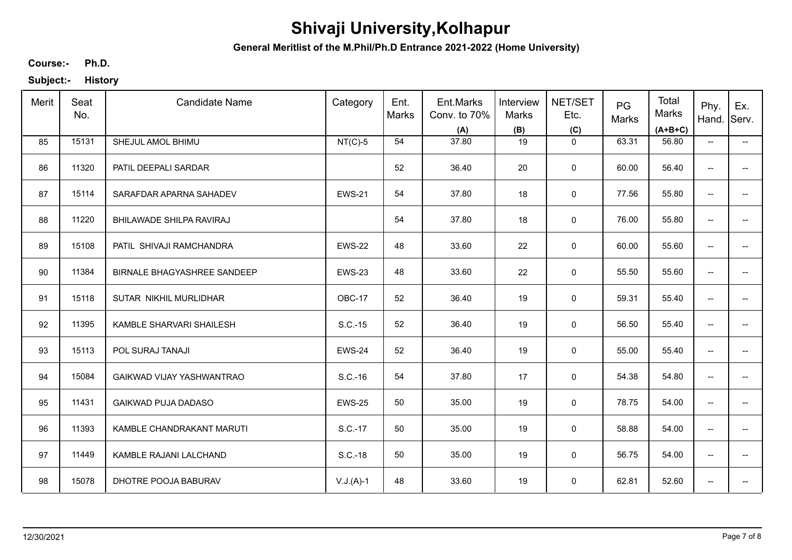**General Meritlist of the M.Phil/Ph.D Entrance 2021-2022 (Home University)**

**Ph.D. Course:-**

| Merit | Seat<br>No. | <b>Candidate Name</b>              | Category      | Ent.<br><b>Marks</b> | Ent.Marks<br>Conv. to 70%<br>(A) | Interview<br>Marks<br>(B) | NET/SET<br>Etc.<br>(C) | PG<br>Marks | Total<br>Marks<br>$(A+B+C)$ | Phy.<br>Hand.            | Ex.<br>Serv.                           |
|-------|-------------|------------------------------------|---------------|----------------------|----------------------------------|---------------------------|------------------------|-------------|-----------------------------|--------------------------|----------------------------------------|
| 85    | 15131       | SHEJUL AMOL BHIMU                  | $NT(C)-5$     | 54                   | 37.80                            | 19                        | $\mathbf 0$            | 63.31       | 56.80                       | $\overline{\phantom{a}}$ | −−                                     |
| 86    | 11320       | PATIL DEEPALI SARDAR               |               | 52                   | 36.40                            | 20                        | $\mathbf 0$            | 60.00       | 56.40                       | $\overline{\phantom{a}}$ | $\overline{\phantom{a}}$               |
| 87    | 15114       | SARAFDAR APARNA SAHADEV            | <b>EWS-21</b> | 54                   | 37.80                            | 18                        | $\mathbf 0$            | 77.56       | 55.80                       | $\overline{\phantom{a}}$ | $\overline{\phantom{a}}$               |
| 88    | 11220       | <b>BHILAWADE SHILPA RAVIRAJ</b>    |               | 54                   | 37.80                            | 18                        | $\mathbf 0$            | 76.00       | 55.80                       | $\overline{\phantom{a}}$ | $\overline{\phantom{a}}$               |
| 89    | 15108       | PATIL SHIVAJI RAMCHANDRA           | <b>EWS-22</b> | 48                   | 33.60                            | 22                        | $\mathbf 0$            | 60.00       | 55.60                       | $\overline{\phantom{a}}$ | $\overline{\phantom{a}}$               |
| 90    | 11384       | <b>BIRNALE BHAGYASHREE SANDEEP</b> | <b>EWS-23</b> | 48                   | 33.60                            | 22                        | 0                      | 55.50       | 55.60                       | $\overline{\phantom{a}}$ | $\hspace{0.05cm} \rule{0.5cm}{0.15cm}$ |
| 91    | 15118       | SUTAR NIKHIL MURLIDHAR             | OBC-17        | 52                   | 36.40                            | 19                        | 0                      | 59.31       | 55.40                       | $\overline{\phantom{a}}$ | $\overline{\phantom{a}}$               |
| 92    | 11395       | KAMBLE SHARVARI SHAILESH           | S.C.-15       | 52                   | 36.40                            | 19                        | $\mathbf 0$            | 56.50       | 55.40                       | $\overline{\phantom{a}}$ | $\overline{\phantom{a}}$               |
| 93    | 15113       | POL SURAJ TANAJI                   | <b>EWS-24</b> | 52                   | 36.40                            | 19                        | $\mathbf 0$            | 55.00       | 55.40                       | $\overline{\phantom{a}}$ | $\overline{\phantom{a}}$               |
| 94    | 15084       | GAIKWAD VIJAY YASHWANTRAO          | S.C.-16       | 54                   | 37.80                            | 17                        | $\mathsf{O}\xspace$    | 54.38       | 54.80                       | $\overline{\phantom{a}}$ | $\overline{\phantom{a}}$               |
| 95    | 11431       | <b>GAIKWAD PUJA DADASO</b>         | <b>EWS-25</b> | 50                   | 35.00                            | 19                        | $\mathsf{O}\xspace$    | 78.75       | 54.00                       | $\overline{\phantom{a}}$ | $\overline{\phantom{a}}$               |
| 96    | 11393       | KAMBLE CHANDRAKANT MARUTI          | S.C.-17       | 50                   | 35.00                            | 19                        | 0                      | 58.88       | 54.00                       | $\overline{\phantom{a}}$ | $\overline{\phantom{a}}$               |
| 97    | 11449       | KAMBLE RAJANI LALCHAND             | S.C.-18       | 50                   | 35.00                            | 19                        | $\mathbf 0$            | 56.75       | 54.00                       | $\overline{\phantom{a}}$ | $\hspace{0.05cm} \rule{0.5cm}{0.15cm}$ |
| 98    | 15078       | DHOTRE POOJA BABURAV               | $V.J.(A)-1$   | 48                   | 33.60                            | 19                        | $\mathsf 0$            | 62.81       | 52.60                       | $\overline{\phantom{a}}$ | −−                                     |